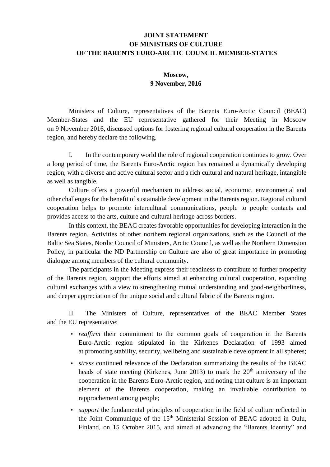## **JOINT STATEMENT OF MINISTERS OF CULTURE OF THE BARENTS EURO-ARCTIC COUNCIL MEMBER-STATES**

## **Moscow, 9 November, 2016**

Ministers of Culture, representatives of the Barents Euro-Arctic Council (BEAC) Member-States and the EU representative gathered for their Meeting in Moscow on 9 November 2016, discussed options for fostering regional cultural cooperation in the Barents region, and hereby declare the following.

I. In the contemporary world the role of regional cooperation continues to grow. Over a long period of time, the Barents Euro-Arctic region has remained a dynamically developing region, with a diverse and active cultural sector and a rich cultural and natural heritage, intangible as well as tangible.

Culture offers a powerful mechanism to address social, economic, environmental and other challenges for the benefit of sustainable development in the Barents region. Regional cultural cooperation helps to promote intercultural communications, people to people contacts and provides access to the arts, culture and cultural heritage across borders.

In this context, the BEAC creates favorable opportunities for developing interaction in the Barents region. Activities of other northern regional organizations, such as the Council of the Baltic Sea States, Nordic Council of Ministers, Arctic Council, as well as the Northern Dimension Policy, in particular the ND Partnership on Culture are also of great importance in promoting dialogue among members of the cultural community.

The participants in the Meeting express their readiness to contribute to further prosperity of the Barents region, support the efforts aimed at enhancing cultural cooperation, expanding cultural exchanges with a view to strengthening mutual understanding and good-neighborliness, and deeper appreciation of the unique social and cultural fabric of the Barents region.

II. The Ministers of Culture, representatives of the BEAC Member States and the EU representative:

- *reaffirm* their commitment to the common goals of cooperation in the Barents Euro-Arctic region stipulated in the Kirkenes Declaration of 1993 aimed at promoting stability, security, wellbeing and sustainable development in all spheres;
- *stress* continued relevance of the Declaration summarizing the results of the BEAC heads of state meeting (Kirkenes, June 2013) to mark the  $20<sup>th</sup>$  anniversary of the cooperation in the Barents Euro-Arctic region, and noting that culture is an important element of the Barents cooperation, making an invaluable contribution to rapprochement among people;
- *support* the fundamental principles of cooperation in the field of culture reflected in the Joint Communique of the 15<sup>th</sup> Ministerial Session of BEAC adopted in Oulu, Finland, on 15 October 2015, and aimed at advancing the "Barents Identity" and